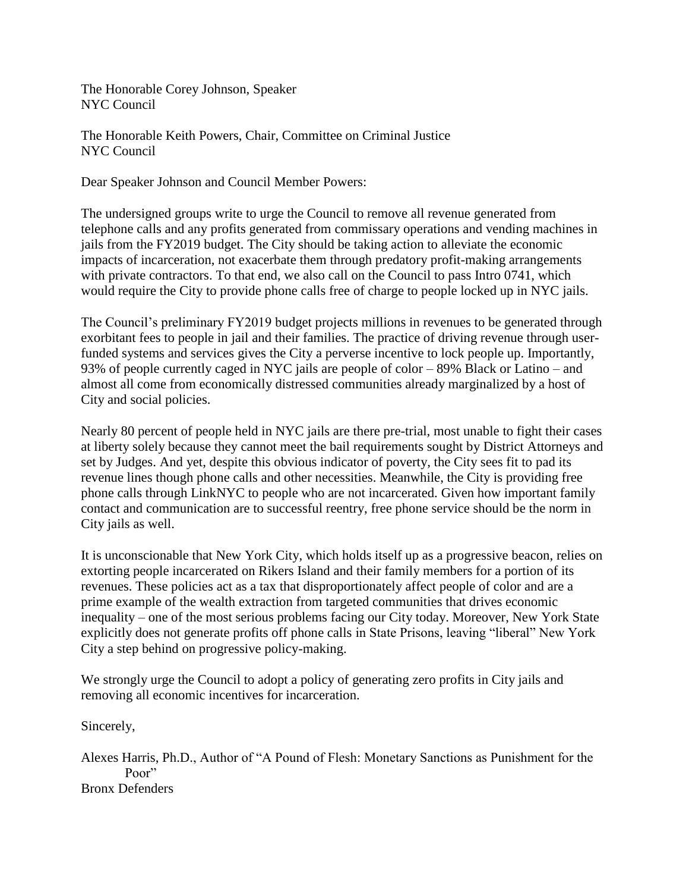The Honorable Corey Johnson, Speaker NYC Council

The Honorable Keith Powers, Chair, Committee on Criminal Justice NYC Council

Dear Speaker Johnson and Council Member Powers:

The undersigned groups write to urge the Council to remove all revenue generated from telephone calls and any profits generated from commissary operations and vending machines in jails from the FY2019 budget. The City should be taking action to alleviate the economic impacts of incarceration, not exacerbate them through predatory profit-making arrangements with private contractors. To that end, we also call on the Council to pass Intro 0741, which would require the City to provide phone calls free of charge to people locked up in NYC jails.

The Council's preliminary FY2019 budget projects millions in revenues to be generated through exorbitant fees to people in jail and their families. The practice of driving revenue through userfunded systems and services gives the City a perverse incentive to lock people up. Importantly, 93% of people currently caged in NYC jails are people of color – 89% Black or Latino – and almost all come from economically distressed communities already marginalized by a host of City and social policies.

Nearly 80 percent of people held in NYC jails are there pre-trial, most unable to fight their cases at liberty solely because they cannot meet the bail requirements sought by District Attorneys and set by Judges. And yet, despite this obvious indicator of poverty, the City sees fit to pad its revenue lines though phone calls and other necessities. Meanwhile, the City is providing free phone calls through LinkNYC to people who are not incarcerated. Given how important family contact and communication are to successful reentry, free phone service should be the norm in City jails as well.

It is unconscionable that New York City, which holds itself up as a progressive beacon, relies on extorting people incarcerated on Rikers Island and their family members for a portion of its revenues. These policies act as a tax that disproportionately affect people of color and are a prime example of the wealth extraction from targeted communities that drives economic inequality – one of the most serious problems facing our City today. Moreover, New York State explicitly does not generate profits off phone calls in State Prisons, leaving "liberal" New York City a step behind on progressive policy-making.

We strongly urge the Council to adopt a policy of generating zero profits in City jails and removing all economic incentives for incarceration.

Sincerely,

Alexes Harris, Ph.D., Author of "A Pound of Flesh: Monetary Sanctions as Punishment for the Poor" Bronx Defenders